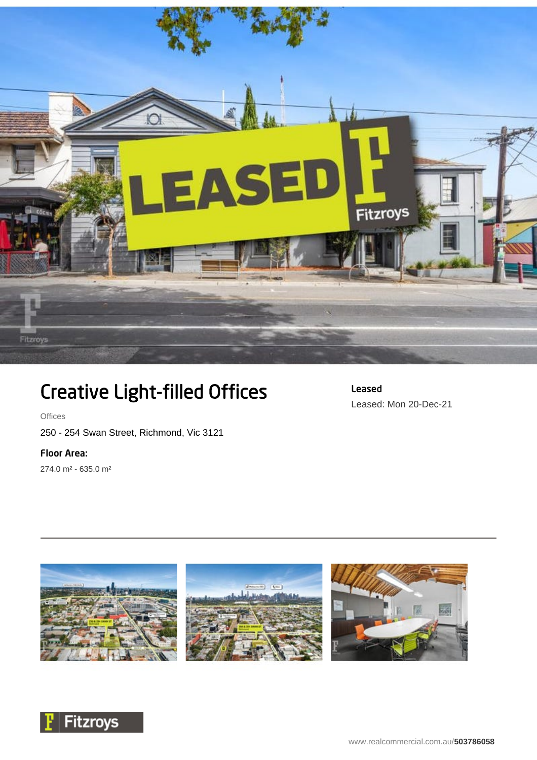

## Creative Light-filled Offices

**Offices** 

250 - 254 Swan Street, Richmond, Vic 3121

## Floor Area:

274.0 m² - 635.0 m²





Leased

Leased: Mon 20-Dec-21